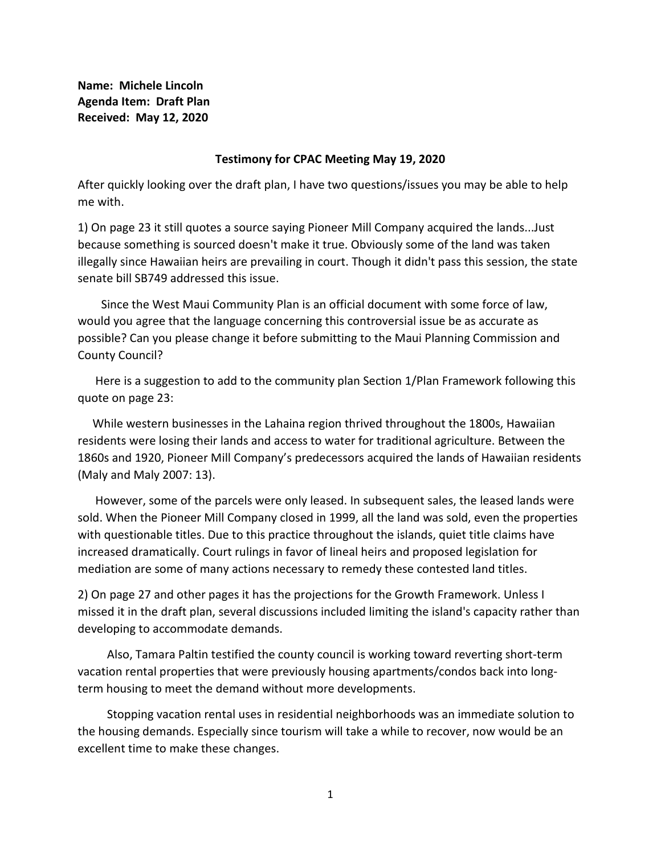**Name: Michele Lincoln Agenda Item: Draft Plan Received: May 12, 2020**

## **Testimony for CPAC Meeting May 19, 2020**

After quickly looking over the draft plan, I have two questions/issues you may be able to help me with.

1) On page 23 it still quotes a source saying Pioneer Mill Company acquired the lands...Just because something is sourced doesn't make it true. Obviously some of the land was taken illegally since Hawaiian heirs are prevailing in court. Though it didn't pass this session, the state senate bill SB749 addressed this issue.

 Since the West Maui Community Plan is an official document with some force of law, would you agree that the language concerning this controversial issue be as accurate as possible? Can you please change it before submitting to the Maui Planning Commission and County Council?

 Here is a suggestion to add to the community plan Section 1/Plan Framework following this quote on page 23:

 While western businesses in the Lahaina region thrived throughout the 1800s, Hawaiian residents were losing their lands and access to water for traditional agriculture. Between the 1860s and 1920, Pioneer Mill Company's predecessors acquired the lands of Hawaiian residents (Maly and Maly 2007: 13).

 However, some of the parcels were only leased. In subsequent sales, the leased lands were sold. When the Pioneer Mill Company closed in 1999, all the land was sold, even the properties with questionable titles. Due to this practice throughout the islands, quiet title claims have increased dramatically. Court rulings in favor of lineal heirs and proposed legislation for mediation are some of many actions necessary to remedy these contested land titles.

2) On page 27 and other pages it has the projections for the Growth Framework. Unless I missed it in the draft plan, several discussions included limiting the island's capacity rather than developing to accommodate demands.

 Also, Tamara Paltin testified the county council is working toward reverting short-term vacation rental properties that were previously housing apartments/condos back into longterm housing to meet the demand without more developments.

 Stopping vacation rental uses in residential neighborhoods was an immediate solution to the housing demands. Especially since tourism will take a while to recover, now would be an excellent time to make these changes.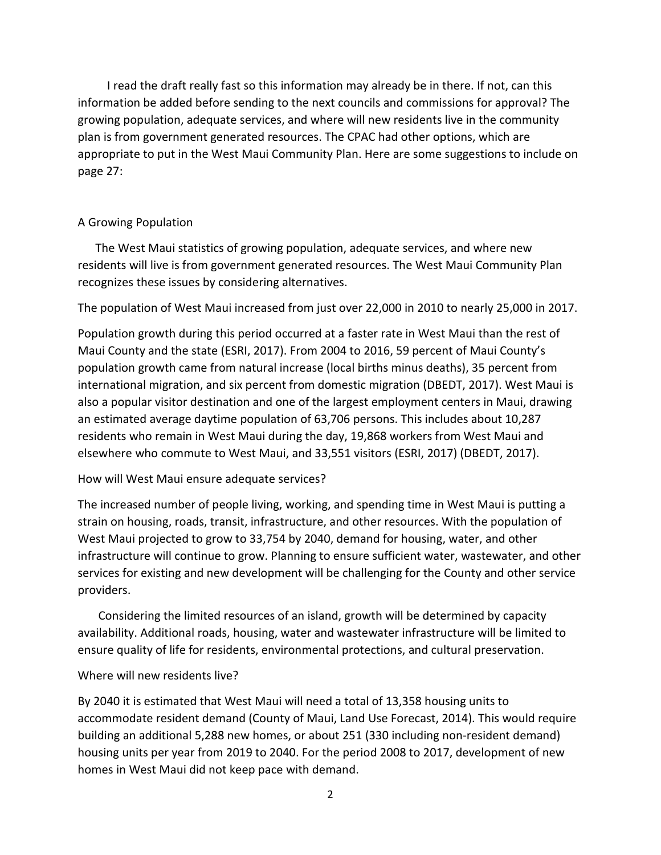I read the draft really fast so this information may already be in there. If not, can this information be added before sending to the next councils and commissions for approval? The growing population, adequate services, and where will new residents live in the community plan is from government generated resources. The CPAC had other options, which are appropriate to put in the West Maui Community Plan. Here are some suggestions to include on page 27:

## A Growing Population

 The West Maui statistics of growing population, adequate services, and where new residents will live is from government generated resources. The West Maui Community Plan recognizes these issues by considering alternatives.

The population of West Maui increased from just over 22,000 in 2010 to nearly 25,000 in 2017.

Population growth during this period occurred at a faster rate in West Maui than the rest of Maui County and the state (ESRI, 2017). From 2004 to 2016, 59 percent of Maui County's population growth came from natural increase (local births minus deaths), 35 percent from international migration, and six percent from domestic migration (DBEDT, 2017). West Maui is also a popular visitor destination and one of the largest employment centers in Maui, drawing an estimated average daytime population of 63,706 persons. This includes about 10,287 residents who remain in West Maui during the day, 19,868 workers from West Maui and elsewhere who commute to West Maui, and 33,551 visitors (ESRI, 2017) (DBEDT, 2017).

## How will West Maui ensure adequate services?

The increased number of people living, working, and spending time in West Maui is putting a strain on housing, roads, transit, infrastructure, and other resources. With the population of West Maui projected to grow to 33,754 by 2040, demand for housing, water, and other infrastructure will continue to grow. Planning to ensure sufficient water, wastewater, and other services for existing and new development will be challenging for the County and other service providers.

 Considering the limited resources of an island, growth will be determined by capacity availability. Additional roads, housing, water and wastewater infrastructure will be limited to ensure quality of life for residents, environmental protections, and cultural preservation.

## Where will new residents live?

By 2040 it is estimated that West Maui will need a total of 13,358 housing units to accommodate resident demand (County of Maui, Land Use Forecast, 2014). This would require building an additional 5,288 new homes, or about 251 (330 including non-resident demand) housing units per year from 2019 to 2040. For the period 2008 to 2017, development of new homes in West Maui did not keep pace with demand.